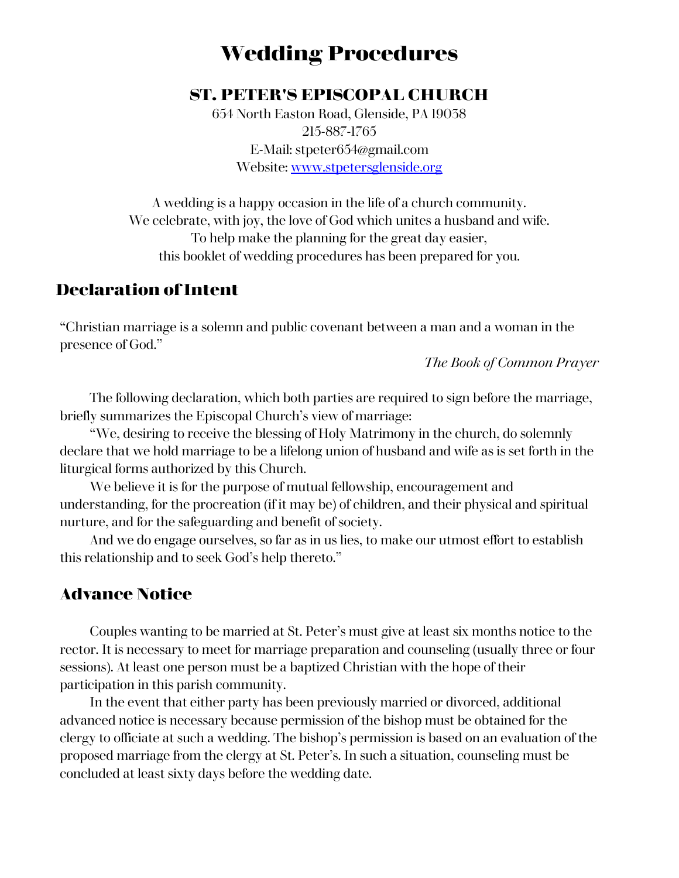# **Wedding Procedures**

#### **ST. PETER'S EPISCOPAL CHURCH**

654 North Easton Road, Glenside, PA 19038 215-887-1765 E-Mail: stpeter654@gmail.com Website: [www.stpetersglenside.org](http://www.stpetersglenside.org/)

A wedding is a happy occasion in the life of a church community. We celebrate, with joy, the love of God which unites a husband and wife. To help make the planning for the great day easier, this booklet of wedding procedures has been prepared for you.

## **Declaration of Intent**

"Christian marriage is a solemn and public covenant between a man and a woman in the presence of God."

*The Book of Common Prayer*

The following declaration, which both parties are required to sign before the marriage, briefly summarizes the Episcopal Church's view of marriage:

"We, desiring to receive the blessing of Holy Matrimony in the church, do solemnly declare that we hold marriage to be a lifelong union of husband and wife as is set forth in the liturgical forms authorized by this Church.

We believe it is for the purpose of mutual fellowship, encouragement and understanding, for the procreation (if it may be) of children, and their physical and spiritual nurture, and for the safeguarding and benefit of society.

And we do engage ourselves, so far as in us lies, to make our utmost effort to establish this relationship and to seek God's help thereto."

#### **Advance Notice**

Couples wanting to be married at St. Peter's must give at least six months notice to the rector. It is necessary to meet for marriage preparation and counseling (usually three or four sessions). At least one person must be a baptized Christian with the hope of their participation in this parish community.

In the event that either party has been previously married or divorced, additional advanced notice is necessary because permission of the bishop must be obtained for the clergy to officiate at such a wedding. The bishop's permission is based on an evaluation of the proposed marriage from the clergy at St. Peter's. In such a situation, counseling must be concluded at least sixty days before the wedding date.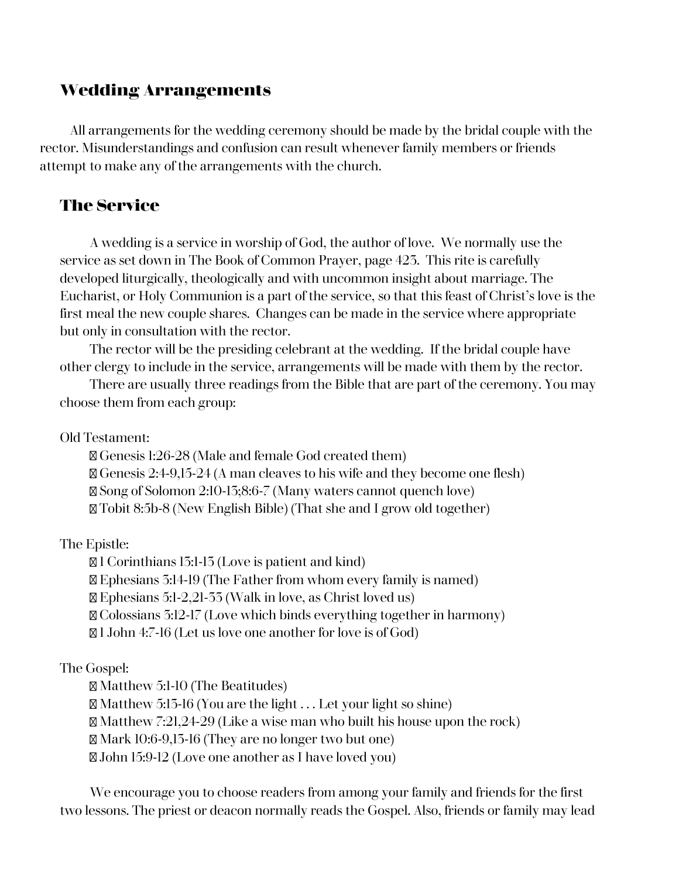#### **Wedding Arrangements**

All arrangements for the wedding ceremony should be made by the bridal couple with the rector. Misunderstandings and confusion can result whenever family members or friends attempt to make any of the arrangements with the church.

#### **The Service**

A wedding is a service in worship of God, the author of love. We normally use the service as set down in The Book of Common Prayer, page 423. This rite is carefully developed liturgically, theologically and with uncommon insight about marriage. The Eucharist, or Holy Communion is a part of the service, so that this feast of Christ's love is the first meal the new couple shares. Changes can be made in the service where appropriate but only in consultation with the rector.

The rector will be the presiding celebrant at the wedding. If the bridal couple have other clergy to include in the service, arrangements will be made with them by the rector.

There are usually three readings from the Bible that are part of the ceremony. You may choose them from each group:

Old Testament:

Genesis 1:26-28 (Male and female God created them) Genesis 2:4-9,15-24 (A man cleaves to his wife and they become one flesh) Song of Solomon 2:10-13;8:6-7 (Many waters cannot quench love) Tobit 8:5b-8 (New English Bible) (That she and I grow old together)

The Epistle:

1 Corinthians 13:1-13 (Love is patient and kind) Ephesians 3:14-19 (The Father from whom every family is named) Ephesians 5:1-2,21-33 (Walk in love, as Christ loved us) Colossians 3:12-17 (Love which binds everything together in harmony) 1 John 4:7-16 (Let us love one another for love is of God)

#### The Gospel:

Matthew 5:1-10 (The Beatitudes)  $\mathbb{Z}$  Matthew 5:13-16 (You are the light ... Let your light so shine) Matthew 7:21,24-29 (Like a wise man who built his house upon the rock) Mark 10:6-9,13-16 (They are no longer two but one) John 15:9-12 (Love one another as I have loved you)

We encourage you to choose readers from among your family and friends for the first two lessons. The priest or deacon normally reads the Gospel. Also, friends or family may lead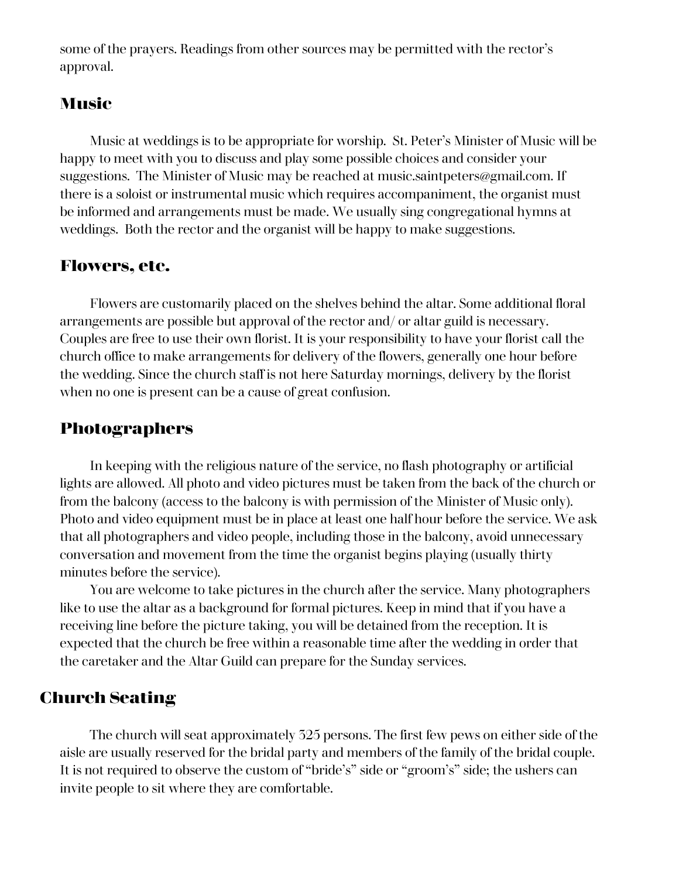some of the prayers. Readings from other sources may be permitted with the rector's approval.

#### **Music**

Music at weddings is to be appropriate for worship. St. Peter's Minister of Music will be happy to meet with you to discuss and play some possible choices and consider your suggestions. The Minister of Music may be reached at music.saintpeters@gmail.com. If there is a soloist or instrumental music which requires accompaniment, the organist must be informed and arrangements must be made. We usually sing congregational hymns at weddings. Both the rector and the organist will be happy to make suggestions.

#### **Flowers, etc.**

Flowers are customarily placed on the shelves behind the altar. Some additional floral arrangements are possible but approval of the rector and/ or altar guild is necessary. Couples are free to use their own florist. It is your responsibility to have your florist call the church office to make arrangements for delivery of the flowers, generally one hour before the wedding. Since the church staff is not here Saturday mornings, delivery by the florist when no one is present can be a cause of great confusion.

### **Photographers**

In keeping with the religious nature of the service, no flash photography or artificial lights are allowed. All photo and video pictures must be taken from the back of the church or from the balcony (access to the balcony is with permission of the Minister of Music only). Photo and video equipment must be in place at least one half hour before the service. We ask that all photographers and video people, including those in the balcony, avoid unnecessary conversation and movement from the time the organist begins playing (usually thirty minutes before the service).

You are welcome to take pictures in the church after the service. Many photographers like to use the altar as a background for formal pictures. Keep in mind that if you have a receiving line before the picture taking, you will be detained from the reception. It is expected that the church be free within a reasonable time after the wedding in order that the caretaker and the Altar Guild can prepare for the Sunday services.

# **Church Seating**

The church will seat approximately 325 persons. The first few pews on either side of the aisle are usually reserved for the bridal party and members of the family of the bridal couple. It is not required to observe the custom of "bride's" side or "groom's" side; the ushers can invite people to sit where they are comfortable.